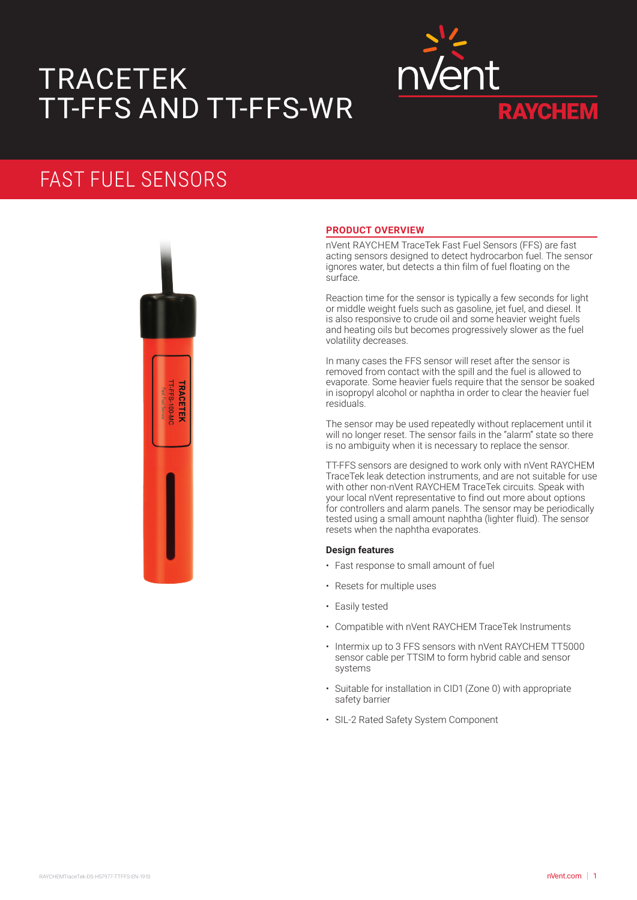# TRACETEK TT-FFS AND TT-FFS-WR



## FAST FUEL SENSORS



## **PRODUCT OVERVIEW**

nVent RAYCHEM TraceTek Fast Fuel Sensors (FFS) are fast acting sensors designed to detect hydrocarbon fuel. The sensor ignores water, but detects a thin film of fuel floating on the surface.

Reaction time for the sensor is typically a few seconds for light or middle weight fuels such as gasoline, jet fuel, and diesel. It is also responsive to crude oil and some heavier weight fuels and heating oils but becomes progressively slower as the fuel volatility decreases.

In many cases the FFS sensor will reset after the sensor is removed from contact with the spill and the fuel is allowed to evaporate. Some heavier fuels require that the sensor be soaked in isopropyl alcohol or naphtha in order to clear the heavier fuel residuals.

The sensor may be used repeatedly without replacement until it will no longer reset. The sensor fails in the "alarm" state so there is no ambiguity when it is necessary to replace the sensor.

TT-FFS sensors are designed to work only with nVent RAYCHEM TraceTek leak detection instruments, and are not suitable for use with other non-nVent RAYCHEM TraceTek circuits. Speak with your local nVent representative to find out more about options for controllers and alarm panels. The sensor may be periodically tested using a small amount naphtha (lighter fluid). The sensor resets when the naphtha evaporates.

## **Design features**

- Fast response to small amount of fuel
- Resets for multiple uses
- Easily tested
- Compatible with nVent RAYCHEM TraceTek Instruments
- Intermix up to 3 FFS sensors with nVent RAYCHEM TT5000 sensor cable per TTSIM to form hybrid cable and sensor systems
- Suitable for installation in CID1 (Zone 0) with appropriate safety barrier
- SIL-2 Rated Safety System Component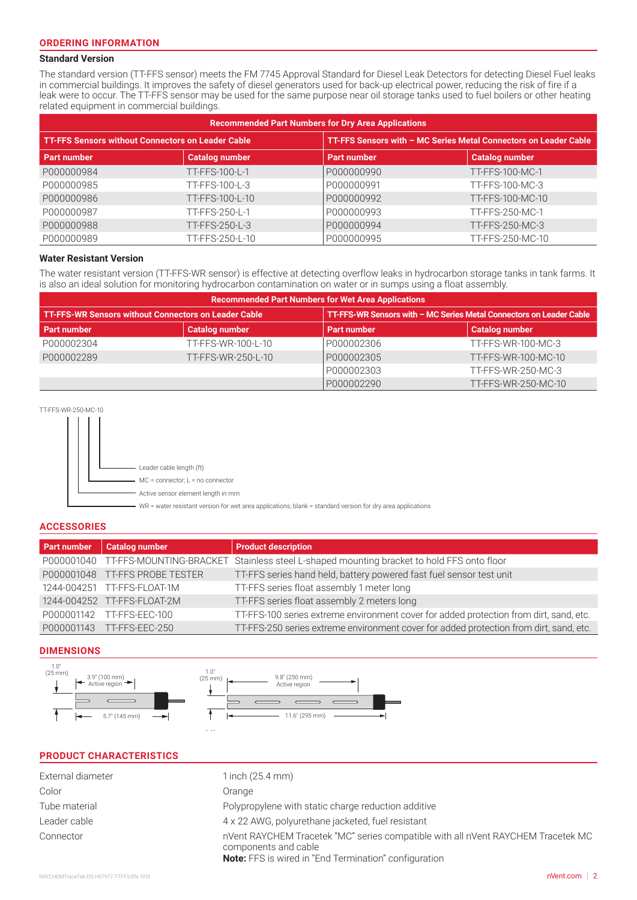## **Standard Version**

The standard version (TT-FFS sensor) meets the FM 7745 Approval Standard for Diesel Leak Detectors for detecting Diesel Fuel leaks in commercial buildings. It improves the safety of diesel generators used for back-up electrical power, reducing the risk of fire if a leak were to occur. The TT-FFS sensor may be used for the same purpose near oil storage tanks used to fuel boilers or other heating related equipment in commercial buildings.

| <b>Recommended Part Numbers for Dry Area Applications</b> |                       |                    |                                                                  |  |  |
|-----------------------------------------------------------|-----------------------|--------------------|------------------------------------------------------------------|--|--|
| <b>TT-FFS Sensors without Connectors on Leader Cable</b>  |                       |                    | TT-FFS Sensors with - MC Series Metal Connectors on Leader Cable |  |  |
| <b>Part number</b>                                        | <b>Catalog number</b> | <b>Part number</b> | <b>Catalog number</b>                                            |  |  |
| P000000984                                                | TT-FFS-100-L-1        | P000000990         | TT-FFS-100-MC-1                                                  |  |  |
| P000000985                                                | TT-FFS-100-L-3        | P000000991         | TT-FFS-100-MC-3                                                  |  |  |
| P000000986                                                | TT-FFS-100-L-10       | P000000992         | TT-FFS-100-MC-10                                                 |  |  |
| P000000987                                                | TT-FFS-250-L-1        | P000000993         | TT-FFS-250-MC-1                                                  |  |  |
| P000000988                                                | TT-FFS-250-L-3        | P000000994         | TT-FFS-250-MC-3                                                  |  |  |
| P000000989                                                | TT-FFS-250-L-10       | P000000995         | TT-FFS-250-MC-10                                                 |  |  |

### **Water Resistant Version**

The water resistant version (TT-FFS-WR sensor) is effective at detecting overflow leaks in hydrocarbon storage tanks in tank farms. It is also an ideal solution for monitoring hydrocarbon contamination on water or in sumps using a float assembly.

| <b>Recommended Part Numbers for Wet Area Applications</b>   |                       |                                                                     |                       |  |  |
|-------------------------------------------------------------|-----------------------|---------------------------------------------------------------------|-----------------------|--|--|
| <b>TT-FFS-WR Sensors without Connectors on Leader Cable</b> |                       | TT-FFS-WR Sensors with - MC Series Metal Connectors on Leader Cable |                       |  |  |
| <b>Part number</b>                                          | <b>Catalog number</b> | <b>Part number</b>                                                  | <b>Catalog number</b> |  |  |
| P000002304                                                  | TT-FFS-WR-100-L-10    | P000002306                                                          | TT-FFS-WR-100-MC-3    |  |  |
| P000002289                                                  | TT-FFS-WR-250-L-10    | P000002305                                                          | TT-FFS-WR-100-MC-10   |  |  |
|                                                             |                       | P000002303                                                          | TT-FFS-WR-250-MC-3    |  |  |
|                                                             |                       | P000002290                                                          | TT-FFS-WR-250-MC-10   |  |  |



Leader cable length (ft) MC = connector; L = no connector Active sensor element length in mm WR = water resistant version for wet area applications; blank = standard version for dry area applications

## **ACCESSORIES**

| <b>Part number</b> | <b>Catalog number</b>          | <b>Product description</b>                                                                          |
|--------------------|--------------------------------|-----------------------------------------------------------------------------------------------------|
|                    |                                | P000001040 TT-FFS-MOUNTING-BRACKET Stainless steel L-shaped mounting bracket to hold FFS onto floor |
|                    | P000001048 TT-FFS PROBE TESTER | TT-FFS series hand held, battery powered fast fuel sensor test unit                                 |
|                    | 1244-004251 TT-FFS-FLOAT-1M    | TT-FFS series float assembly 1 meter long                                                           |
|                    | 1244-004252 TT-FFS-FLOAT-2M    | TT-FFS series float assembly 2 meters long                                                          |
|                    | P000001142 TT-FFS-EEC-100      | TT-FFS-100 series extreme environment cover for added protection from dirt, sand, etc.              |
|                    | P000001143 TT-FFS-EEC-250      | TT-FFS-250 series extreme environment cover for added protection from dirt, sand, etc.              |

## **DIMENSIONS**



1.1"

## Color **Color** Color Color Color Color Color Color **PRODUCT CHARACTERISTICS** External diameter 1 inch (25.4 mm) Tube material **Polypropylene** with static charge reduction additive Leader cable 4 x 22 AWG, polyurethane jacketed, fuel resistant Connector nVent RAYCHEM Tracetek "MC" series compatible with all nVent RAYCHEM Tracetek MC

components and cable **Note:** FFS is wired in "End Termination" configuration